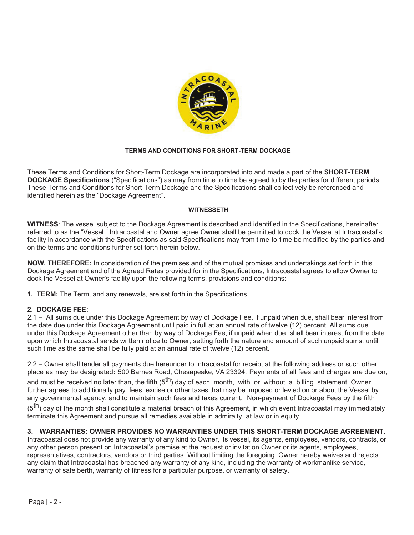

### **TERMS AND CONDITIONS FOR SHORT-TERM DOCKAGE**

These Terms and Conditions for Short-Term Dockage are incorporated into and made a part of the **SHORT-TERM DOCKAGE Specifications** ("Specifications") as may from time to time be agreed to by the parties for different periods. These Terms and Conditions for Short-Term Dockage and the Specifications shall collectively be referenced and identified herein as the "Dockage Agreement".

#### **WITNESSETH**

**WITNESS**: The vessel subject to the Dockage Agreement is described and identified in the Specifications, hereinafter referred to as the "Vessel." Intracoastal and Owner agree Owner shall be permitted to dock the Vessel at Intracoastal's facility in accordance with the Specifications as said Specifications may from time-to-time be modified by the parties and on the terms and conditions further set forth herein below.

**NOW, THEREFORE:** In consideration of the premises and of the mutual promises and undertakings set forth in this Dockage Agreement and of the Agreed Rates provided for in the Specifications, Intracoastal agrees to allow Owner to dock the Vessel at Owner's facility upon the following terms, provisions and conditions:

**1. TERM:** The Term, and any renewals, are set forth in the Specifications.

#### **2. DOCKAGE FEE:**

2.1 – All sums due under this Dockage Agreement by way of Dockage Fee, if unpaid when due, shall bear interest from the date due under this Dockage Agreement until paid in full at an annual rate of twelve (12) percent. All sums due under this Dockage Agreement other than by way of Dockage Fee, if unpaid when due, shall bear interest from the date upon which Intracoastal sends written notice to Owner, setting forth the nature and amount of such unpaid sums, until such time as the same shall be fully paid at an annual rate of twelve (12) percent.

2.2 – Owner shall tender all payments due hereunder to Intracoastal for receipt at the following address or such other place as may be designated**:** 500 Barnes Road, Chesapeake, VA 23324. Payments of all fees and charges are due on,

and must be received no later than, the fifth ( $5<sup>th</sup>$ ) day of each month, with or without a billing statement. Owner further agrees to additionally pay fees, excise or other taxes that may be imposed or levied on or about the Vessel by any governmental agency, and to maintain such fees and taxes current. Non-payment of Dockage Fees by the fifth

(5<sup>th</sup>) day of the month shall constitute a material breach of this Agreement, in which event Intracoastal may immediately terminate this Agreement and pursue all remedies available in admiralty, at law or in equity.

#### **3. WARRANTIES: OWNER PROVIDES NO WARRANTIES UNDER THIS SHORT-TERM DOCKAGE AGREEMENT.**

Intracoastal does not provide any warranty of any kind to Owner, its vessel, its agents, employees, vendors, contracts, or any other person present on Intracoastal's premise at the request or invitation Owner or its agents, employees, representatives, contractors, vendors or third parties. Without limiting the foregoing, Owner hereby waives and rejects any claim that Intracoastal has breached any warranty of any kind, including the warranty of workmanlike service, warranty of safe berth, warranty of fitness for a particular purpose, or warranty of safety.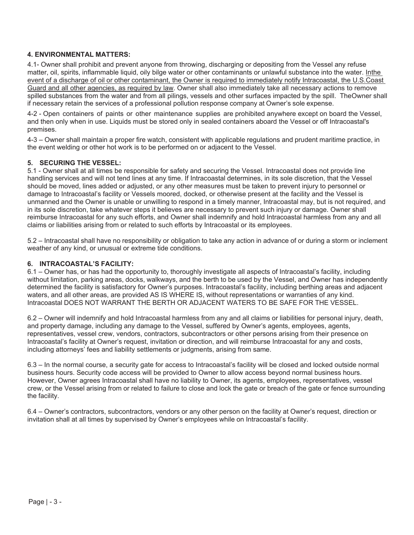# **4. ENVIRONMENTAL MATTERS:**

4.1- Owner shall prohibit and prevent anyone from throwing, discharging or depositing from the Vessel any refuse matter, oil, spirits, inflammable liquid, oily bilge water or other contaminants or unlawful substance into the water. In the event of a discharge of oil or other contaminant, the Owner is required to immediately notify Intracoastal, the U.S. Coast Guard and all other agencies, as required by law. Owner shall also immediately take all necessary actions to remove spilled substances from the water and from all pilings, vessels and other surfaces impacted by the spill. The Owner shall if necessary retain the services of a professional pollution response company at Owner's sole expense.

4-2 - Open containers of paints or other maintenance supplies are prohibited anywhere except on board the Vessel, and then only when in use. Liquids must be stored only in sealed containers aboard the Vessel or off Intracoastal's premises.

4-3 – Owner shall maintain a proper fire watch, consistent with applicable regulations and prudent maritime practice, in the event welding or other hot work is to be performed on or adjacent to the Vessel.

### **5. SECURING THE VESSEL:**

5.1 - Owner shall at all times be responsible for safety and securing the Vessel. Intracoastal does not provide line handling services and will not tend lines at any time. If Intracoastal determines, in its sole discretion, that the Vessel should be moved, lines added or adjusted, or any other measures must be taken to prevent injury to personnel or damage to Intracoastal's facility or Vessels moored, docked, or otherwise present at the facility and the Vessel is unmanned and the Owner is unable or unwilling to respond in a timely manner, Intracoastal may, but is not required, and in its sole discretion, take whatever steps it believes are necessary to prevent such injury or damage. Owner shall reimburse Intracoastal for any such efforts, and Owner shall indemnify and hold Intracoastal harmless from any and all claims or liabilities arising from or related to such efforts by Intracoastal or its employees.

5.2 – Intracoastal shall have no responsibility or obligation to take any action in advance of or during a storm or inclement weather of any kind, or unusual or extreme tide conditions.

### **6. INTRACOASTAL'S FACILITY:**

6.1 – Owner has, or has had the opportunity to, thoroughly investigate all aspects of Intracoastal's facility, including without limitation, parking areas, docks, walkways, and the berth to be used by the Vessel, and Owner has independently determined the facility is satisfactory for Owner's purposes. Intracoastal's facility, including berthing areas and adjacent waters, and all other areas, are provided AS IS WHERE IS, without representations or warranties of any kind. Intracoastal DOES NOT WARRANT THE BERTH OR ADJACENT WATERS TO BE SAFE FOR THE VESSEL.

6.2 – Owner will indemnify and hold Intracoastal harmless from any and all claims or liabilities for personal injury, death, and property damage, including any damage to the Vessel, suffered by Owner's agents, employees, agents, representatives, vessel crew, vendors, contractors, subcontractors or other persons arising from their presence on Intracoastal's facility at Owner's request, invitation or direction, and will reimburse Intracoastal for any and costs, including attorneys' fees and liability settlements or judgments, arising from same.

6.3 – In the normal course, a security gate for access to Intracoastal's facility will be closed and locked outside normal business hours. Security code access will be provided to Owner to allow access beyond normal business hours. However, Owner agrees Intracoastal shall have no liability to Owner, its agents, employees, representatives, vessel crew, or the Vessel arising from or related to failure to close and lock the gate or breach of the gate or fence surrounding the facility.

6.4 – Owner's contractors, subcontractors, vendors or any other person on the facility at Owner's request, direction or invitation shall at all times by supervised by Owner's employees while on Intracoastal's facility.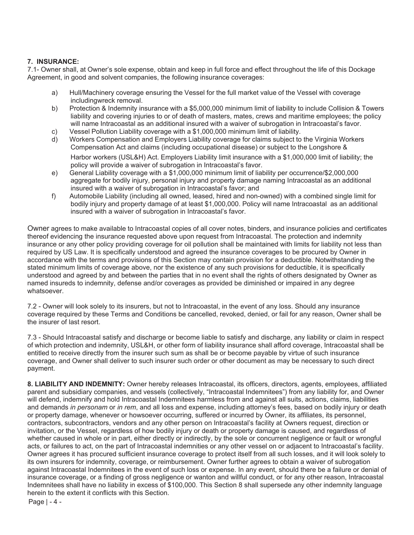# **7. INSURANCE:**

7.1- Owner shall, at Owner's sole expense, obtain and keep in full force and effect throughout the life of this Dockage Agreement, in good and solvent companies, the following insurance coverages:

- a) Hull/Machinery coverage ensuring the Vessel for the full market value of the Vessel with coverage including wreck removal.
- b) Protection & Indemnity insurance with a \$5,000,000 minimum limit of liability to include Collision & Towers liability and covering injuries to or of death of masters, mates, crews and maritime employees; the policy will name Intracoastal as an additional insured with a waiver of subrogation in Intracoastal's favor.
- c) Vessel Pollution Liability coverage with a \$1,000,000 minimum limit of liability.
- d) Workers Compensation and Employers Liability coverage for claims subject to the Virginia Workers Compensation Act and claims (including occupational disease) or subject to the Longshore & Harbor workers (USL&H) Act. Employers Liability limit insurance with a \$1,000,000 limit of liability; the policy will provide a waiver of subrogation in Intracoastal's favor.
- e) General Liability coverage with a \$1,000,000 minimum limit of liability per occurrence/\$2,000,000 aggregate for bodily injury, personal injury and property damage naming Intracoastal as an additional insured with a waiver of subrogation in Intracoastal's favor; and
- f) Automobile Liability (including all owned, leased, hired and non-owned) with a combined single limit for bodily injury and property damage of at least \$1,000,000. Policy will name Intracoastal as an additional insured with a waiver of subrogation in Intracoastal's favor.

Owner agrees to make available to Intracoastal copies of all cover notes, binders, and insurance policies and certificates thereof evidencing the insurance requested above upon request from Intracoastal. The protection and indemnity insurance or any other policy providing coverage for oil pollution shall be maintained with limits for liability not less than required by US Law. It is specifically understood and agreed the insurance coverages to be procured by Owner in accordance with the terms and provisions of this Section may contain provision for a deductible. Notwithstanding the stated minimum limits of coverage above, nor the existence of any such provisions for deductible, it is specifically understood and agreed by and between the parties that in no event shall the rights of others designated by Owner as named insureds to indemnity, defense and/or coverages as provided be diminished or impaired in any degree whatsoever.

7.2 - Owner will look solely to its insurers, but not to Intracoastal, in the event of any loss. Should any insurance coverage required by these Terms and Conditions be cancelled, revoked, denied, or fail for any reason, Owner shall be the insurer of last resort.

7.3 - Should Intracoastal satisfy and discharge or become liable to satisfy and discharge, any liability or claim in respect of which protection and indemnity, USL&H, or other form of liability insurance shall afford coverage, Intracoastal shall be entitled to receive directly from the insurer such sum as shall be or become payable by virtue of such insurance coverage, and Owner shall deliver to such insurer such order or other document as may be necessary to such direct payment.

**8. LIABILITY AND INDEMNITY:** Owner hereby releases Intracoastal, its officers, directors, agents, employees, affiliated parent and subsidiary companies, and vessels (collectively, "Intracoastal Indemnitees") from any liability for, and Owner will defend, indemnify and hold Intracoastal Indemnitees harmless from and against all suits, actions, claims, liabilities and demands *in personam* or *in rem*, and all loss and expense, including attorney's fees, based on bodily injury or death or property damage, whenever or howsoever occurring, suffered or incurred by Owner, its affiliates, its personnel, contractors, subcontractors, vendors and any other person on Intracoastal's facility at Owners request, direction or invitation, or the Vessel, regardless of how bodily injury or death or property damage is caused, and regardless of whether caused in whole or in part, either directly or indirectly, by the sole or concurrent negligence or fault or wrongful acts, or failures to act, on the part of Intracoastal indemnities or any other vessel on or adjacent to Intracoastal's facility. Owner agrees it has procured sufficient insurance coverage to protect itself from all such losses, and it will look solely to its own insurers for indemnity, coverage, or reimbursement. Owner further agrees to obtain a waiver of subrogation against Intracoastal Indemnitees in the event of such loss or expense. In any event, should there be a failure or denial of insurance coverage, or a finding of gross negligence or wanton and willful conduct, or for any other reason, Intracoastal Indemnitees shall have no liability in excess of \$100,000. This Section 8 shall supersede any other indemnity language herein to the extent it conflicts with this Section.

Page | - 4 -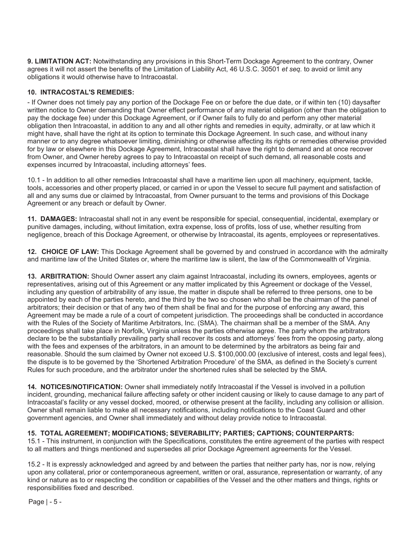**9. LIMITATION ACT:** Notwithstanding any provisions in this Short-Term Dockage Agreement to the contrary, Owner agrees it will not assert the benefits of the Limitation of Liability Act, 46 U.S.C. 30501 *et seq.* to avoid or limit any obligations it would otherwise have to Intracoastal.

## **10. INTRACOSTAL'S REMEDIES:**

- If Owner does not timely pay any portion of the Dockage Fee on or before the due date, or if within ten (10) days after written notice to Owner demanding that Owner effect performance of any material obligation (other than the obligation to pay the dockage fee) under this Dockage Agreement, or if Owner fails to fully do and perform any other material obligation then Intracoastal, in addition to any and all other rights and remedies in equity, admiralty, or at law which it might have, shall have the right at its option to terminate this Dockage Agreement. In such case, and without inany manner or to any degree whatsoever limiting, diminishing or otherwise affecting its rights or remedies otherwise provided for by law or elsewhere in this Dockage Agreement, Intracoastal shall have the right to demand and at once recover from Owner, and Owner hereby agrees to pay to Intracoastal on receipt of such demand, all reasonable costs and expenses incurred by Intracoastal, including attorneys' fees.

10.1 - In addition to all other remedies Intracoastal shall have a maritime lien upon all machinery, equipment, tackle, tools, accessories and other property placed, or carried in or upon the Vessel to secure full payment and satisfaction of all and any sums due or claimed by Intracoastal, from Owner pursuant to the terms and provisions of this Dockage Agreement or any breach or default by Owner.

**11. DAMAGES:** Intracoastal shall not in any event be responsible for special, consequential, incidental, exemplary or punitive damages, including, without limitation, extra expense, loss of profits, loss of use, whether resulting from negligence, breach of this Dockage Agreement, or otherwise by Intracoastal, its agents, employees or representatives.

**12. CHOICE OF LAW:** This Dockage Agreement shall be governed by and construed in accordance with the admiralty and maritime law of the United States or, where the maritime law is silent, the law of the Commonwealth of Virginia.

**13. ARBITRATION:** Should Owner assert any claim against Intracoastal, including its owners, employees, agents or representatives, arising out of this Agreement or any matter implicated by this Agreement or dockage of the Vessel, including any question of arbitrability of any issue, the matter in dispute shall be referred to three persons, one to be appointed by each of the parties hereto, and the third by the two so chosen who shall be the chairman of the panel of arbitrators; their decision or that of any two of them shall be final and for the purpose of enforcing any award, this Agreement may be made a rule of a court of competent jurisdiction. The proceedings shall be conducted in accordance with the Rules of the Society of Maritime Arbitrators, Inc. (SMA). The chairman shall be a member of the SMA. Any proceedings shall take place in Norfolk, Virginia unless the parties otherwise agree. The party whom the arbitrators declare to be the substantially prevailing party shall recover its costs and attorneys' fees from the opposing party, along with the fees and expenses of the arbitrators, in an amount to be determined by the arbitrators as being fair and reasonable. Should the sum claimed by Owner not exceed U.S. \$100,000.00 (exclusive of interest, costs and legal fees), the dispute is to be governed by the 'Shortened Arbitration Procedure' of the SMA, as defined in the Society's current Rules for such procedure, and the arbitrator under the shortened rules shall be selected by the SMA.

**14. NOTICES/NOTIFICATION:** Owner shall immediately notify Intracoastal if the Vessel is involved in a pollution incident, grounding, mechanical failure affecting safety or other incident causing or likely to cause damage to any part of Intracoastal's facility or any vessel docked, moored, or otherwise present at the facility, including any collision or allision. Owner shall remain liable to make all necessary notifications, including notifications to the Coast Guard and other government agencies, and Owner shall immediately and without delay provide notice to Intracoastal.

### **15. TOTAL AGREEMENT; MODIFICATIONS; SEVERABILITY; PARTIES; CAPTIONS; COUNTERPARTS:**

15.1 - This instrument, in conjunction with the Specifications, constitutes the entire agreement of the parties with respect to all matters and things mentioned and supersedes all prior Dockage Agreement agreements for the Vessel.

15.2 - It is expressly acknowledged and agreed by and between the parties that neither party has, nor is now, relying upon any collateral, prior or contemporaneous agreement, written or oral, assurance, representation or warranty, of any kind or nature as to or respecting the condition or capabilities of the Vessel and the other matters and things, rights or responsibilities fixed and described.